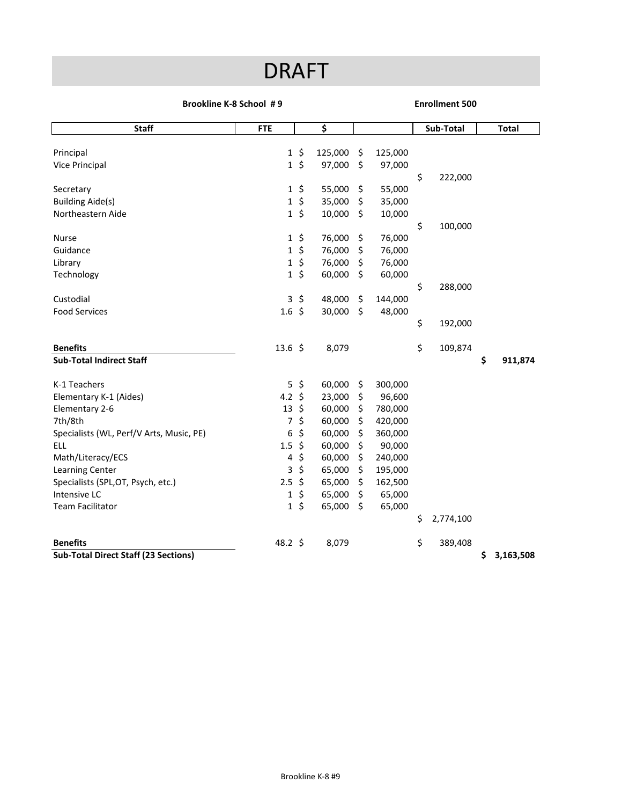## DRAFT

## **Brookline K‐8 School # 9**

## **Enrollment 500**

| <b>Staff</b>                                | <b>FTE</b>         |         | \$      |         |         |    | Sub-Total |    | <b>Total</b> |
|---------------------------------------------|--------------------|---------|---------|---------|---------|----|-----------|----|--------------|
|                                             |                    |         |         |         |         |    |           |    |              |
| Principal                                   | $\mathbf{1}$       | \$      | 125,000 | \$      | 125,000 |    |           |    |              |
| Vice Principal                              | $\mathbf{1}$       | $\zeta$ | 97,000  | $\zeta$ | 97,000  |    |           |    |              |
|                                             |                    |         |         |         |         | \$ | 222,000   |    |              |
| Secretary                                   | 1                  | \$      | 55,000  | \$      | 55,000  |    |           |    |              |
| <b>Building Aide(s)</b>                     | 1                  | $\zeta$ | 35,000  | \$      | 35,000  |    |           |    |              |
| Northeastern Aide                           | $\mathbf{1}$       | $\zeta$ | 10,000  | $\zeta$ | 10,000  |    |           |    |              |
|                                             |                    |         |         |         |         | \$ | 100,000   |    |              |
| <b>Nurse</b>                                | 1                  | $\zeta$ | 76,000  | \$      | 76,000  |    |           |    |              |
| Guidance                                    | 1                  | \$      | 76,000  | \$      | 76,000  |    |           |    |              |
| Library                                     | 1                  | \$      | 76,000  | \$      | 76,000  |    |           |    |              |
| Technology                                  | $\mathbf{1}$       | \$      | 60,000  | \$      | 60,000  |    |           |    |              |
|                                             |                    |         |         |         |         | \$ | 288,000   |    |              |
| Custodial                                   | 3                  | \$      | 48,000  | \$      | 144,000 |    |           |    |              |
| <b>Food Services</b>                        | 1.6                | $\zeta$ | 30,000  | \$      | 48,000  |    |           |    |              |
|                                             |                    |         |         |         |         | \$ | 192,000   |    |              |
|                                             |                    |         |         |         |         |    |           |    |              |
| <b>Benefits</b>                             | $13.6 \; \text{S}$ |         | 8,079   |         |         | \$ | 109,874   |    |              |
| <b>Sub-Total Indirect Staff</b>             |                    |         |         |         |         |    |           | \$ | 911,874      |
|                                             |                    |         |         |         |         |    |           |    |              |
| K-1 Teachers                                | $\overline{5}$     | \$      | 60,000  | \$      | 300,000 |    |           |    |              |
| Elementary K-1 (Aides)                      | 4.2                | Ŝ       | 23,000  | \$      | 96,600  |    |           |    |              |
| Elementary 2-6                              | 13                 | \$      | 60,000  | $\zeta$ | 780,000 |    |           |    |              |
| 7th/8th                                     | 7                  | \$      | 60,000  | \$      | 420,000 |    |           |    |              |
| Specialists (WL, Perf/V Arts, Music, PE)    | 6                  | \$      | 60,000  | \$      | 360,000 |    |           |    |              |
| <b>ELL</b>                                  | 1.5                | \$      | 60,000  | \$      | 90,000  |    |           |    |              |
| Math/Literacy/ECS                           | 4                  | \$      | 60,000  | \$      | 240,000 |    |           |    |              |
| Learning Center                             | 3                  | \$      | 65,000  | \$      | 195,000 |    |           |    |              |
| Specialists (SPL, OT, Psych, etc.)          | 2.5                | \$      | 65,000  | \$      | 162,500 |    |           |    |              |
| Intensive LC                                | 1                  | \$      | 65,000  | \$      | 65,000  |    |           |    |              |
| <b>Team Facilitator</b>                     | $\mathbf{1}$       | \$      | 65,000  | \$      | 65,000  |    |           |    |              |
|                                             |                    |         |         |         |         | \$ | 2,774,100 |    |              |
| <b>Benefits</b>                             | 48.2 \$            |         | 8,079   |         |         | \$ | 389,408   |    |              |
| <b>Sub-Total Direct Staff (23 Sections)</b> |                    |         |         |         |         |    |           | \$ | 3,163,508    |